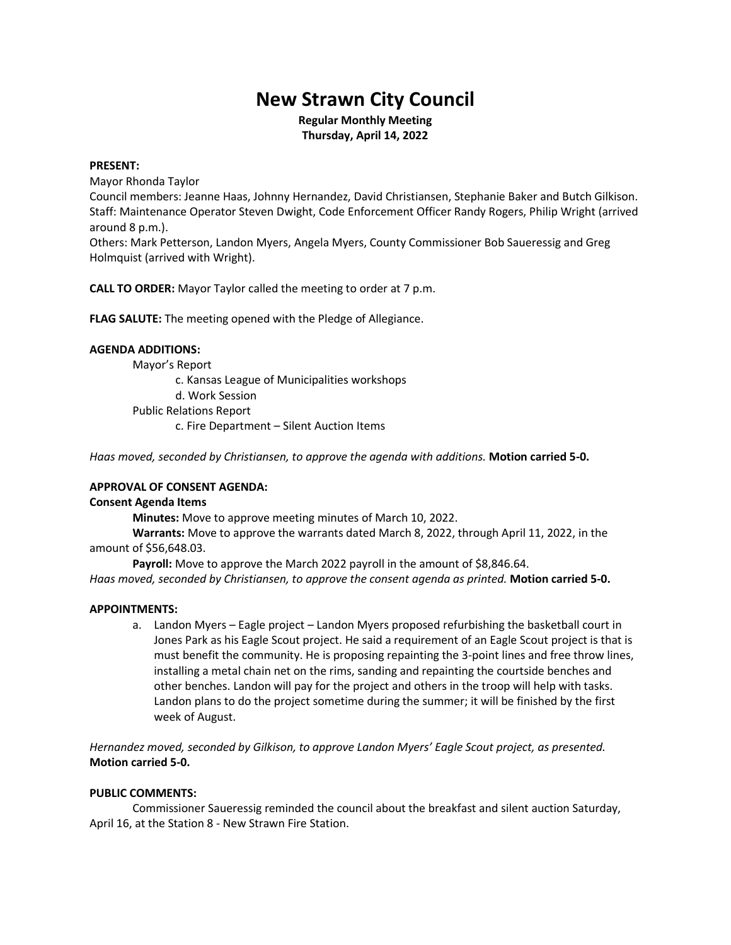# **New Strawn City Council**

**Regular Monthly Meeting Thursday, April 14, 2022**

## **PRESENT:**

Mayor Rhonda Taylor

Council members: Jeanne Haas, Johnny Hernandez, David Christiansen, Stephanie Baker and Butch Gilkison. Staff: Maintenance Operator Steven Dwight, Code Enforcement Officer Randy Rogers, Philip Wright (arrived around 8 p.m.).

Others: Mark Petterson, Landon Myers, Angela Myers, County Commissioner Bob Saueressig and Greg Holmquist (arrived with Wright).

**CALL TO ORDER:** Mayor Taylor called the meeting to order at 7 p.m.

**FLAG SALUTE:** The meeting opened with the Pledge of Allegiance.

# **AGENDA ADDITIONS:**

Mayor's Report

c. Kansas League of Municipalities workshops

d. Work Session

Public Relations Report

c. Fire Department – Silent Auction Items

*Haas moved, seconded by Christiansen, to approve the agenda with additions.* **Motion carried 5-0.**

# **APPROVAL OF CONSENT AGENDA:**

# **Consent Agenda Items**

**Minutes:** Move to approve meeting minutes of March 10, 2022.

**Warrants:** Move to approve the warrants dated March 8, 2022, through April 11, 2022, in the amount of \$56,648.03.

Payroll: Move to approve the March 2022 payroll in the amount of \$8,846.64. *Haas moved, seconded by Christiansen, to approve the consent agenda as printed.* **Motion carried 5-0.**

# **APPOINTMENTS:**

a. Landon Myers – Eagle project – Landon Myers proposed refurbishing the basketball court in Jones Park as his Eagle Scout project. He said a requirement of an Eagle Scout project is that is must benefit the community. He is proposing repainting the 3-point lines and free throw lines, installing a metal chain net on the rims, sanding and repainting the courtside benches and other benches. Landon will pay for the project and others in the troop will help with tasks. Landon plans to do the project sometime during the summer; it will be finished by the first week of August.

*Hernandez moved, seconded by Gilkison, to approve Landon Myers' Eagle Scout project, as presented.* **Motion carried 5-0.**

# **PUBLIC COMMENTS:**

Commissioner Saueressig reminded the council about the breakfast and silent auction Saturday, April 16, at the Station 8 - New Strawn Fire Station.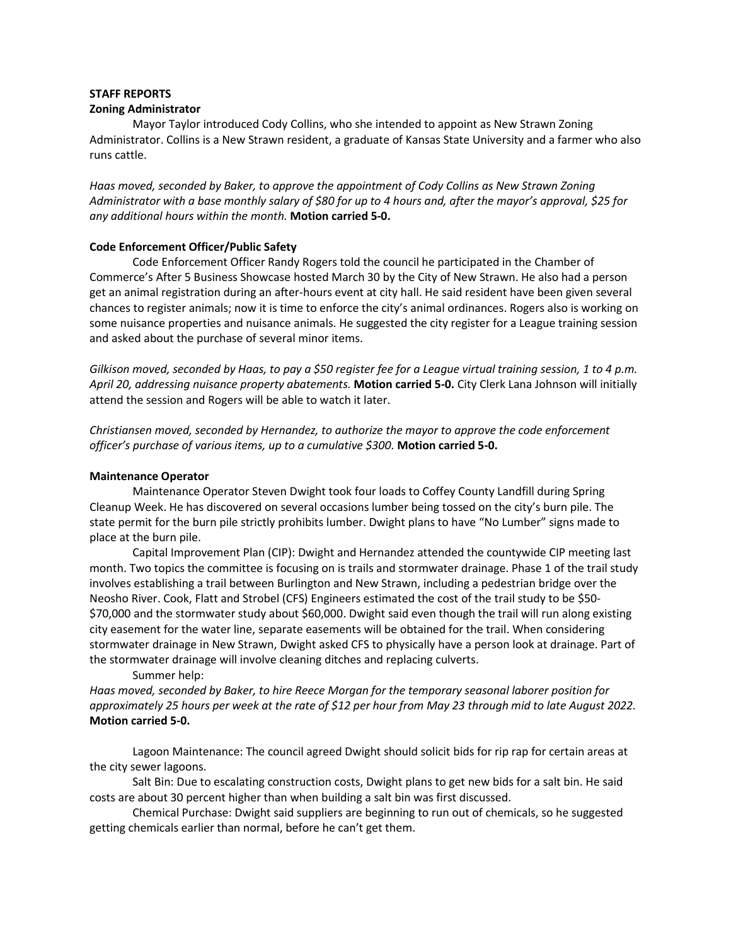## **STAFF REPORTS**

## **Zoning Administrator**

Mayor Taylor introduced Cody Collins, who she intended to appoint as New Strawn Zoning Administrator. Collins is a New Strawn resident, a graduate of Kansas State University and a farmer who also runs cattle.

*Haas moved, seconded by Baker, to approve the appointment of Cody Collins as New Strawn Zoning Administrator with a base monthly salary of \$80 for up to 4 hours and, after the mayor's approval, \$25 for any additional hours within the month.* **Motion carried 5-0.**

# **Code Enforcement Officer/Public Safety**

Code Enforcement Officer Randy Rogers told the council he participated in the Chamber of Commerce's After 5 Business Showcase hosted March 30 by the City of New Strawn. He also had a person get an animal registration during an after-hours event at city hall. He said resident have been given several chances to register animals; now it is time to enforce the city's animal ordinances. Rogers also is working on some nuisance properties and nuisance animals. He suggested the city register for a League training session and asked about the purchase of several minor items.

*Gilkison moved, seconded by Haas, to pay a \$50 register fee for a League virtual training session, 1 to 4 p.m. April 20, addressing nuisance property abatements.* **Motion carried 5-0.** City Clerk Lana Johnson will initially attend the session and Rogers will be able to watch it later.

*Christiansen moved, seconded by Hernandez, to authorize the mayor to approve the code enforcement officer's purchase of various items, up to a cumulative \$300.* **Motion carried 5-0.**

# **Maintenance Operator**

Maintenance Operator Steven Dwight took four loads to Coffey County Landfill during Spring Cleanup Week. He has discovered on several occasions lumber being tossed on the city's burn pile. The state permit for the burn pile strictly prohibits lumber. Dwight plans to have "No Lumber" signs made to place at the burn pile.

Capital Improvement Plan (CIP): Dwight and Hernandez attended the countywide CIP meeting last month. Two topics the committee is focusing on is trails and stormwater drainage. Phase 1 of the trail study involves establishing a trail between Burlington and New Strawn, including a pedestrian bridge over the Neosho River. Cook, Flatt and Strobel (CFS) Engineers estimated the cost of the trail study to be \$50- \$70,000 and the stormwater study about \$60,000. Dwight said even though the trail will run along existing city easement for the water line, separate easements will be obtained for the trail. When considering stormwater drainage in New Strawn, Dwight asked CFS to physically have a person look at drainage. Part of the stormwater drainage will involve cleaning ditches and replacing culverts.

Summer help:

*Haas moved, seconded by Baker, to hire Reece Morgan for the temporary seasonal laborer position for approximately 25 hours per week at the rate of \$12 per hour from May 23 through mid to late August 2022.* **Motion carried 5-0.**

Lagoon Maintenance: The council agreed Dwight should solicit bids for rip rap for certain areas at the city sewer lagoons.

Salt Bin: Due to escalating construction costs, Dwight plans to get new bids for a salt bin. He said costs are about 30 percent higher than when building a salt bin was first discussed.

Chemical Purchase: Dwight said suppliers are beginning to run out of chemicals, so he suggested getting chemicals earlier than normal, before he can't get them.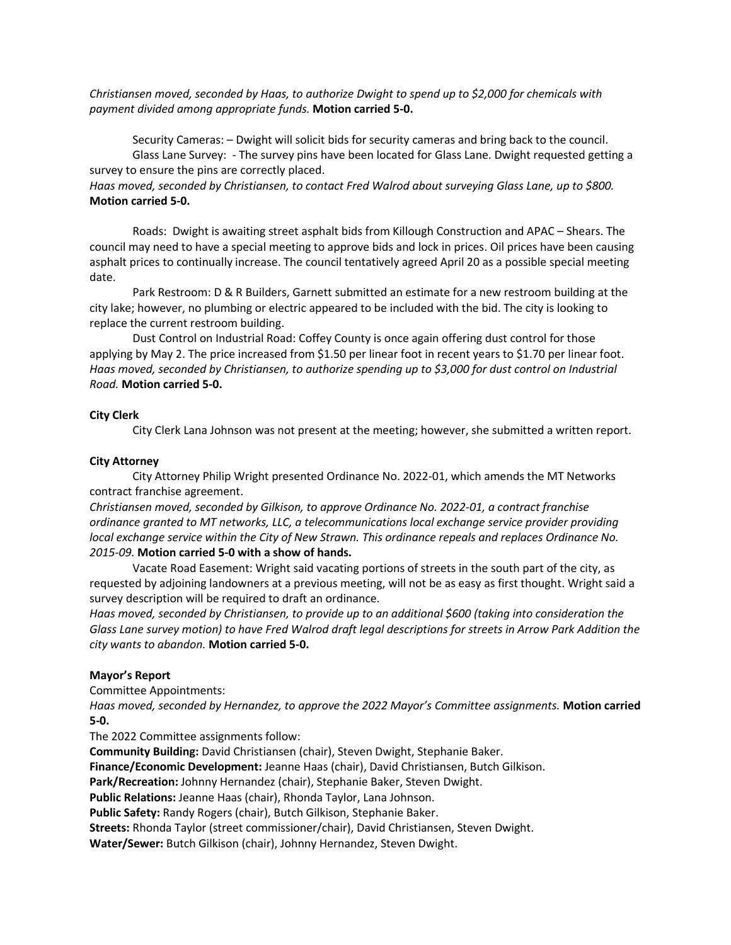# *Christiansen moved, seconded by Haas, to authorize Dwight to spend up to \$2,000 for chemicals with payment divided among appropriate funds.* **Motion carried 5-0.**

Security Cameras: – Dwight will solicit bids for security cameras and bring back to the council. Glass Lane Survey: - The survey pins have been located for Glass Lane. Dwight requested getting a survey to ensure the pins are correctly placed.

*Haas moved, seconded by Christiansen, to contact Fred Walrod about surveying Glass Lane, up to \$800.* **Motion carried 5-0.**

Roads: Dwight is awaiting street asphalt bids from Killough Construction and APAC – Shears. The council may need to have a special meeting to approve bids and lock in prices. Oil prices have been causing asphalt prices to continually increase. The council tentatively agreed April 20 as a possible special meeting date.

Park Restroom: D & R Builders, Garnett submitted an estimate for a new restroom building at the city lake; however, no plumbing or electric appeared to be included with the bid. The city is looking to replace the current restroom building.

Dust Control on Industrial Road: Coffey County is once again offering dust control for those applying by May 2. The price increased from \$1.50 per linear foot in recent years to \$1.70 per linear foot. *Haas moved, seconded by Christiansen, to authorize spending up to \$3,000 for dust control on Industrial Road.* **Motion carried 5-0.**

# **City Clerk**

City Clerk Lana Johnson was not present at the meeting; however, she submitted a written report.

# **City Attorney**

City Attorney Philip Wright presented Ordinance No. 2022-01, which amends the MT Networks contract franchise agreement.

*Christiansen moved, seconded by Gilkison, to approve Ordinance No. 2022-01, a contract franchise ordinance granted to MT networks, LLC, a telecommunications local exchange service provider providing local exchange service within the City of New Strawn. This ordinance repeals and replaces Ordinance No. 2015-09.* **Motion carried 5-0 with a show of hands.**

Vacate Road Easement: Wright said vacating portions of streets in the south part of the city, as requested by adjoining landowners at a previous meeting, will not be as easy as first thought. Wright said a survey description will be required to draft an ordinance.

*Haas moved, seconded by Christiansen, to provide up to an additional \$600 (taking into consideration the Glass Lane survey motion) to have Fred Walrod draft legal descriptions for streets in Arrow Park Addition the city wants to abandon.* **Motion carried 5-0.**

# **Mayor's Report**

Committee Appointments:

*Haas moved, seconded by Hernandez, to approve the 2022 Mayor's Committee assignments.* **Motion carried 5-0.**

The 2022 Committee assignments follow:

**Community Building:** David Christiansen (chair), Steven Dwight, Stephanie Baker.

**Finance/Economic Development:** Jeanne Haas (chair), David Christiansen, Butch Gilkison.

**Park/Recreation:** Johnny Hernandez (chair), Stephanie Baker, Steven Dwight.

**Public Relations:** Jeanne Haas (chair), Rhonda Taylor, Lana Johnson.

**Public Safety:** Randy Rogers (chair), Butch Gilkison, Stephanie Baker.

**Streets:** Rhonda Taylor (street commissioner/chair), David Christiansen, Steven Dwight.

**Water/Sewer:** Butch Gilkison (chair), Johnny Hernandez, Steven Dwight.